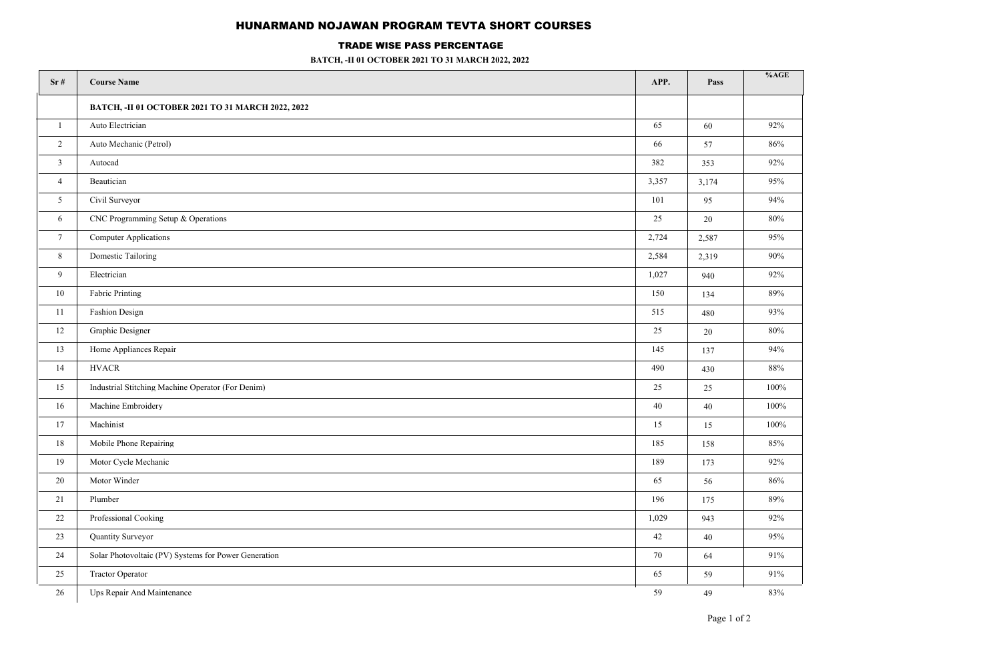## HUNARMAND NOJAWAN PROGRAM TEVTA SHORT COURSES

## TRADE WISE PASS PERCENTAGE

**BATCH, -II 01 OCTOBER 2021 TO 31 MARCH 2022, 2022**

| Sr#             | <b>Course Name</b>                                   | APP.  | Pass  | %AGE   |
|-----------------|------------------------------------------------------|-------|-------|--------|
|                 | BATCH, -II 01 OCTOBER 2021 TO 31 MARCH 2022, 2022    |       |       |        |
| 1               | Auto Electrician                                     | 65    | 60    | 92%    |
| $\overline{2}$  | Auto Mechanic (Petrol)                               | 66    | 57    | 86%    |
| $\mathfrak{Z}$  | Autocad                                              | 382   | 353   | 92%    |
| $\overline{4}$  | Beautician                                           | 3,357 | 3,174 | 95%    |
| 5               | Civil Surveyor                                       | 101   | 95    | 94%    |
| 6               | CNC Programming Setup & Operations                   | 25    | 20    | 80%    |
| $7\overline{ }$ | Computer Applications                                | 2,724 | 2,587 | 95%    |
| 8               | <b>Domestic Tailoring</b>                            | 2,584 | 2,319 | 90%    |
| 9               | Electrician                                          | 1,027 | 940   | 92%    |
| 10              | Fabric Printing                                      | 150   | 134   | $89\%$ |
| 11              | Fashion Design                                       | 515   | 480   | 93%    |
| 12              | Graphic Designer                                     | 25    | 20    | 80%    |
| 13              | Home Appliances Repair                               | 145   | 137   | 94%    |
| 14              | <b>HVACR</b>                                         | 490   | 430   | 88%    |
| 15              | Industrial Stitching Machine Operator (For Denim)    | 25    | 25    | 100%   |
| 16              | Machine Embroidery                                   | 40    | 40    | 100%   |
| 17              | Machinist                                            | 15    | 15    | 100%   |
| 18              | Mobile Phone Repairing                               | 185   | 158   | 85%    |
| 19              | Motor Cycle Mechanic                                 | 189   | 173   | 92%    |
| $20\,$          | Motor Winder                                         | 65    | 56    | 86%    |
| 21              | Plumber                                              | 196   | 175   | 89%    |
| 22              | Professional Cooking                                 | 1,029 | 943   | 92%    |
| 23              | Quantity Surveyor                                    | 42    | 40    | 95%    |
| 24              | Solar Photovoltaic (PV) Systems for Power Generation | 70    | 64    | 91%    |
| 25              | Tractor Operator                                     | 65    | 59    | 91%    |
| 26              | Ups Repair And Maintenance                           | 59    | 49    | 83%    |